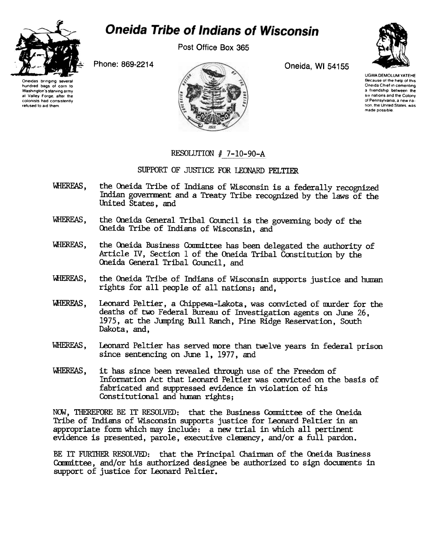

## **Oneida Tribe of Indians of Wisconsin**

Post Office Box 365



Oneidas bringing several hundred bags of corn to Washington's starving army at Valley Forge. after the colonists had consistently refused to aid them



UGWA DEMOLUM YATEHE Because of the help of this Oneida Chief in cementing a friendship between the six nations and the Colony of Pennsylvania, a new nation, the United States, was made possible

## RESOLUTION  $# 7-10-90-A$

## SUPPORT OF JUSTICE FOR LEONARD PELTIER

- WHEREAS, the Oneida Tribe of Indians of Wisconsin is a federally recognized Indian government and a Treaty Tribe recognized by the laws of the United States, and
- WHEREAS, the Oneida General Tribal Council is the governing body of the Oneida Tribe of Indians of Wisconsin, and
- WHEREAS, the Oneida Business Committee has been delegated the authority of Article IV, Section 1 of the Oneida Tribal Constitution by the Oneida General Tribal Council, and
- WHEREAS, the Oneida Tribe of Indians of Wisconsin supports justice and human rights for all people of all nations; and,
- WHEREAS, Leonard Peltier, a Chippewa-Lakota, was convicted of murder for the deaths of two Federal Bureau of Investigation agents on June 26, 1975, at the Junping Bull Ranch, Pine Ridge Reservation, South Dakota, and,
- WHEREAS, Leonard Peltier has served more than twelve years in federal prison since sentencing on June 1, 1977, and
- WHEREAS, it has since been revealed through use of the Freedom of Information Act that Leonard Peltier was convicted on the basis of fabricated and suppressed evidence in violation of his Constitutional and hunan rights;

NOW, THEREFORE BE IT RESOLVED: that the Business Committee of the Oneida Tribe of Indians of Wisconsin supports justice for Leonard Peltier in an appropriate form which may include: a new trial in which all pertinent evidence is presented, parole, executive clemency, and/or a full pardon.

BE IT FURTHER RESOLVED: that the Principal Chairman of the Oneida Business Committee, and/or his authorized designee be authorized to sign documents in support of justice for Leonard Peltier.